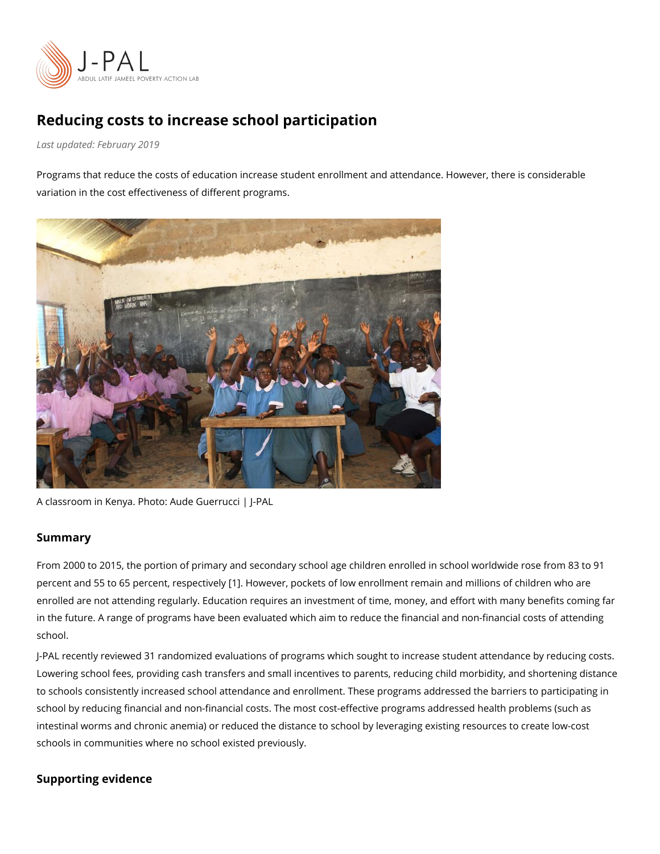## Reducing costs to increase school participation

Last updaFteebdruary 2019

Programs that reduce the costs of education increase student enrollment and attendance. variation in the cost effectiveness of different programs.

A classroom in Kenya. Photo: Aude Guerrucci | J-PAL

## Summary

From 2000 to 2015, the portion of primary and secondary school age children enrolled in  $\frac{1}{3}$ percent and 55 to 65 percent1. respectively ckets of low enrollment remain and millions of enrolled are not attending regularly. Education requires an investment of time, money, an in the future. A range of programs have been evaluated which aim to reduce the financial school.

J-PAL recreenvtileywe3d randomized evaluations of programs which sought to increase student at Lowering school fees, providing cash transfers and small incentives to parents, reducing to schools consistently increased school attendance and enrollment. These programs addr school by reducing financial and non-financial costs. The most cost-effective programs ad intestinal worms and chronic anemia) or reduced the distance to school by leveraging existing resources to cre schools in communities where no school existed previously.

Supporting evidence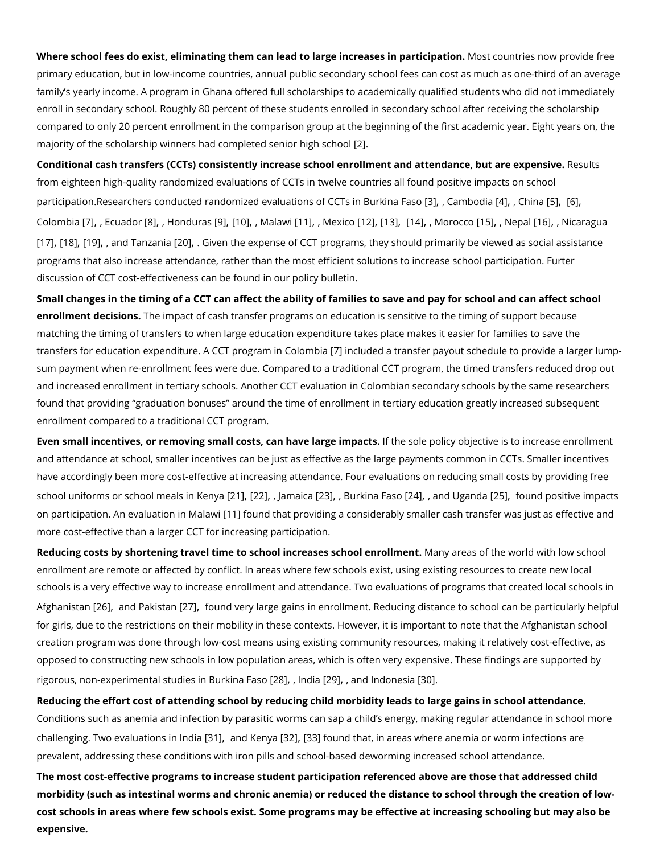Where school fees do exist, eliminating them can lead to large Monstecacsuenstrime spandivic ippractivioushe primary education, but in low-income countries, annual public secondary school fees can family s yearly income. A program in Ghana offered full scholarships to academically qual enroll in secondary school. Roughly 80 percent of these students enrolled in secondary sq compared to only 20 percent enrollment in the comparison group at the beginning of the f majority of the scholarship winners had comp[let](#page-3-0)ed senior high school

Conditional cash transfers (CCTs) consistently increase school enrollment and extestedance from eighteen high-quality randomized evaluations of CCTs in twelve countries all found p participa[tio](#page-4-0)n.Researchers conducted randomized evaluat[i30]n sCoafm 60 6[d74i3p i6] hB [nb3a]k[i6n]a Faso Colom[bi](#page-4-0)7a][,](#page-4-0) Ecua $\beta\delta$ ]r, Hondui 8] 10,] Malawin,] Mexi[[do](#page-4-0)2,][\[13](#page-4-0),][\[14](#page-4-0),] Moroqdo5,] Nep[all6,] Nicaragua [\[17](#page-4-0)] 18] 19][,](#page-5-0) and Tan[zan](#page-5-0)ia Given the expense of CCT programs, they should primarily be view programs that also increase attendance, rather than the most efficient solutions to increa discussion of CCT cost-effectiveness poodincy be builduent idn in our

Small changes in the timing of a CCT can affect the ability of families to save and pay for enrollment decislibasimpact of cash transfer programs on education is sensitive to the timi matching the timing of transfers to when large education expenditure takes place makes i transfers for education expenditure. A CCT[T p](#page-4-0)ling langle dna Cto home be a payout schedule to provid sum payment when re-enrollment fees were due. Compared to a traditional CCT program, t and increased enrollment in tertiary schools. Another CCT evaluation in Colombian second found that providing graduation bonuses around the time of enrollment in tertiary education greatly increased subsequent subsequent subsequent subsequent subsequent subsequent subsequent in tertiary education of the subseq enrollment compared to a traditional CCT program.

Even small incentives, or removing small costs, calm have sola go elim prachisective is to increa and attendance at school, smaller incentives can be just as effective as the large paymen have accordingly been more cost-effective at increasing attendance. Four evaluations on school uniforms or school m[e2al][s2 2p][,](#page-5-0) kletmya [i23], Burkina [F2a4s] o[and](#page-5-0) Uga[o2 o5.a] found positive impac on particip[atio](#page-4-0)n. An evaluation in Mathawati providing a considerably smaller cash transfer w more cost-effective than a larger CCT for increasing participation.

Reducing costs by shortening travel time to school incre. Mesensy secrie cast ce in the binwe onlid with low enrollment are remote or affected by conflict. In areas where few schools exist, using exi schools is a very effective way to increase enrollment and attendance. Two evaluations of Afghanis[t2a6p] and Pakis2rah found very large gains in enrollment. Reducing di[sta](#page-5-0)nce to schoo for girls, due to the restrictions on their mobility in these contexts. However, it is import creation program was done through low-cost means using existing community resources, m opposed to constructing new schools in low population areas, which is often very expensi rigorous[,](#page-5-0) non-experimental studie \$2 BG), Blood|K2a8,}, aFransioIndon[a80]a

Reducing the effort cost of attending school by reducing child morbidity leads to large ga Conditions such as anemia and infection by parasitic worms can sap a child s energy, mal challenging. Two evaluatisons ind Indelian 21 33 found that[,](#page-5-0) in areas where anemia or worm infed prevalent, addressing these conditions with iron pills and school-based deworming increa The most cost-effective programs to increase student participation referenced above are that addressed childress morbidity (such as intestinal worms and chronic anemia) or reduced the distance to schoo cost schools in areas where few schools exist. Some programs may be effective at increas expensive.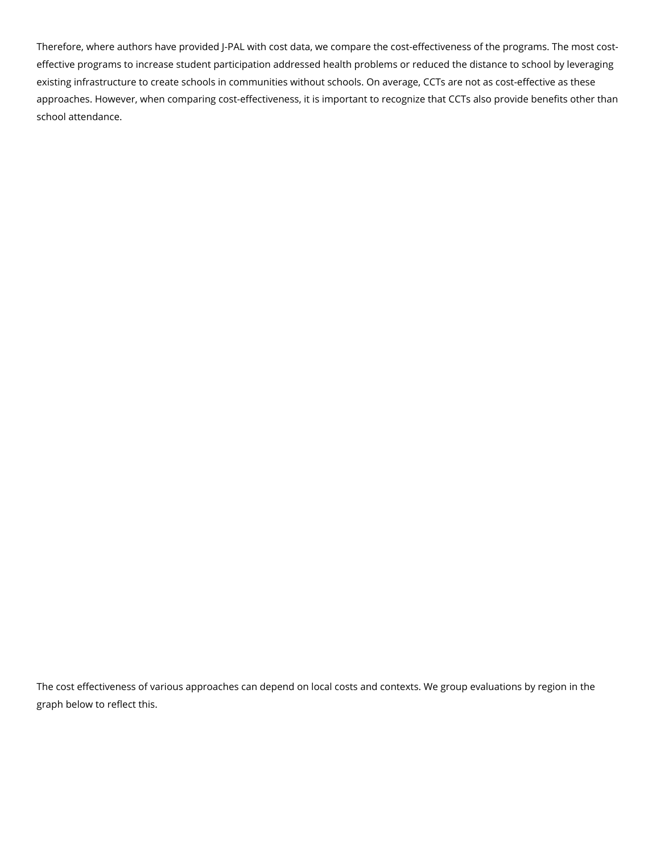Therefore, where authors have provided J-PAL with cost data, we compare the cost-effectiveness of the programs. The most costeffective programs to increase student participation addressed health problems or reduced the distance to school by leveraging existing infrastructure to create schools in communities without schools. On average, CCTs are not as cost-effective as these approaches. However, when comparing cost-effectiveness, it is important to recognize that CCTs also provide benefits other than school attendance.

The cost effectiveness of various approaches can depend on local costs and contexts. We group evaluations by region in the graph below to reflect this.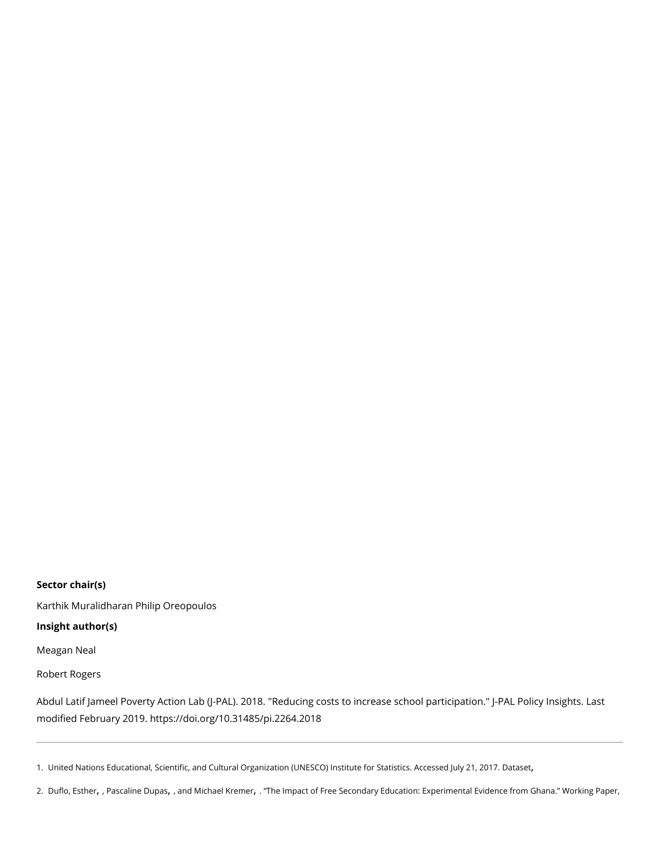<span id="page-3-0"></span>Sector chair(s) [Karthik Murali](https://www.povertyactionlab.org/person/muralidharan)dPharaph Oreopoulos Insight author(s) [Meagan](https://www.povertyactionlab.org/person/neal) Neal [Robert Ro](https://www.povertyactionlab.org/person/rogers)gers

Abdul Latif Jameel Poverty Action Lab (J-PAL). 2018. "Reducing costs to increase school  $modified$  Februarhytt $2018/10.31485$ /pi.2264.2018

1. United Nations Educational[,](http://data.uis.unesco.org/) Scientific, and Cultural Organization (UNESCO) InBattasstet for Statistics. Acce 2. [Duflo, E](https://www.povertyactionlab.org/duflo)sthenscaline Dupanbdichael KremeTrhe Impact of Free Secondary Education: Experimental Evidence fr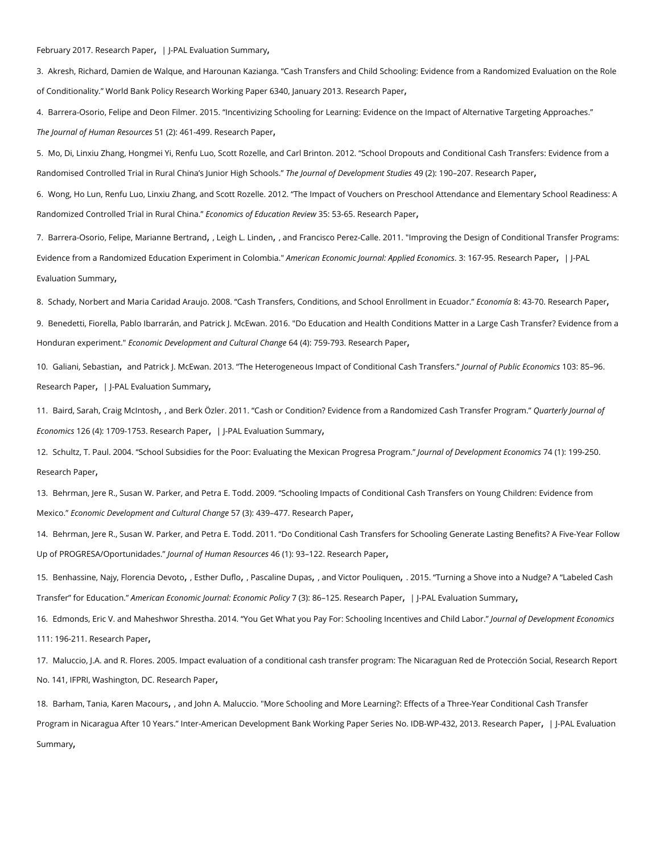## <span id="page-4-0"></span>February 2Rds Jearch PapePAL Evaluation [,](https://www.povertyactionlab.org/evaluation/returns-secondary-schooling-ghana) Summary

3. Akresh, Richard, Damien de Walque, and Harounan Kazianga. Cash Transfers and Child Schooling: Evide of Conditionality. World Bank Policy [Research](https://hdl.handle.net/10986/13127) Workin Pge Peapnech 6 P34 p0 er January 2013.

4. Barrera-Osorio, Felipe and Deon Filmer. 2015. Incentivizing Schooling for Learning: Evidence on the Imp The Journal of Human  $R$  $(2)$ ):  $46$ d $R$ s $-$ 4 $S$  $3.$  rch  $R$ aper

5. Mo, Di, Linxiu Zhang, Hongmei Yi, Renfu Luo, Scott Rozelle, and Carl Brinton. 2012. School Dropouts an Randomised Controlled Trial in Rural China TsheJulmoiworn Heligchf SDeehvoeolop 4m9e (12) Stustukes as 1978 arch Paper

6. Wong, Ho Lun, Renfu Luo, Linxiu Zhang, and Scott Rozelle. 2012. The Impact of Vouchers on Preschool . Randomized Controlled Trial iEnc Route and Cshionfa Education 5R3eR6e5e. warch Paper

7. Barrera-Osorio Maeilapae Ber[,](https://www.povertyactionlab.org/linden)t, Laenigh L. Lindaennd Francisco Perez-Calle. 2011. "Improving the Design of Cond Evidence from a Randomized Education Exp**AmereioannEConommbicaJ**burnal: Ap p:lie 6d7 [Economics](https://doi.org/10.1257/app.3.2.167) Papel PAL [Evaluation Su](https://www.povertyactionlab.org/evaluation/improving-design-conditional-transfer-programs-colombia)mmary [,](https://www.povertyactionlab.org/evaluation/improving-design-conditional-transfer-programs-colombia)

8. Schady[,](https://doi.org/10.1353/eco.0.0004) Norbert and Maria Caridad Araujo. 2008. Cash Transfers, ConditiEoenosnoamm8ida Schadoesle EanorblPapert in 9. Benedetti, Fiorella, Pablo Ibarrarán, and Patrick J. McEwan. 2016. "Do Education and Health Conditions Honduran experiEmceomto mic Development and C6u4lt(u4r)al 7C51+Baer7s\$3=86a.rch Paper

10[.Galiani, Seb](https://www.povertyactionlab.org/galiani)asthidan Patrick J. McEwan. 2013. The Heterogeneous Impact Joofu Crovanld oitfio Phuablic Cassio 8 Thro2m5 is 35 sts. [Research](https://doi.org/10.1016/j.jpubeco.2013.04.004) PapePAL Evaluation[,](https://www.povertyactionlab.org/evaluation/conditional-cash-transfers-honduras) Summary

11. Baird[,](https://www.povertyactionlab.org/mcintosh) S& maahig McIntoss mid Berk Özler. 2011. Cash or Condition? Evidence from a RanQool anmtiezrelyl Causs ma Traonfst Economics (4): 1709Reds7e5a3r.ch P[,](https://www.povertyactionlab.org/evaluation/impact-cash-transfers-educational-attainment-sexual-behavior-and-hiv-status-adolescent) a|plePAL Evaluation , Summary

12. Schultz, T. Paul. 2004. School Subsidies for the Poor: Evaluation grinhael Mife Deiexeen of programe 45 En(chement Brament Program of the Mexican D [Research](https://doi.org/10.1016/j.jdeveco.2003.12.009) Paper [,](https://doi.org/10.1016/j.jdeveco.2003.12.009)

13. Behrman, Jere R., Susan W. Parker, and Petra E. Todd. 2009. Schooling Impacts of Conditional Cash Tr MexicoE.conomic Development and C5u7lt(U3r)al 4C3tRaotorge&arch Paper

14. Behrman, Jere R., Susan W. Parker, and Petra E. Todd. 2011. Do Conditional Cash Transfers for School Up of PROGRESA/OportJuonuirchaadeosf. Human R46 s(o1u)r.c \$3R \$28 arch Paper

15. Benhassine FNbajeyncia DevEsttoher Dufloscaline Dupam Mictor Pouliquen 5. Turning a Shove into a Nudge? A L Transfer for EduAcmaneiroinaan Economic Journal: 左(も): 0 的6 B16925. Belaiory h Papel PAL Evaluation [,](https://www.povertyactionlab.org/evaluation/cash-transfers-education-morocco) Summary

16. Edmonds, Eric V. and Maheshwor Shrestha. 2014. You Get What you Pay FoUrou StabboolfinDge vne temp tries Eacondn 111: 196-**24s** earch Paper

17. Maluccio, J.A. and R. Flores. 2005. Impact evaluation of a conditional cash transfer program: The Nicara No. 141[,](http://www.ifpri.org/publication/impact-evaluation-conditional-cash-transfer-program-2) IFPRI, WashRegecanch  $Q$ aper

18. Barham[,](https://www.povertyactionlab.org/macours) Thanian Macounas d John A. Maluccio. "More Schooling and More Learning?: Effects of a Three-Ye Program in Nicaragua After 10 Years. Inter-American Development Bank WorkTeagePaapherP[,](https://publications.iadb.org/handle/11319/4584) Saple iPeASLN Eval DuBt WorP-[Summa](https://www.povertyactionlab.org/evaluation/long-term-effects-conditional-cash-transfer-program-nicaragua)[,](https://www.povertyactionlab.org/evaluation/long-term-effects-conditional-cash-transfer-program-nicaragua)ry